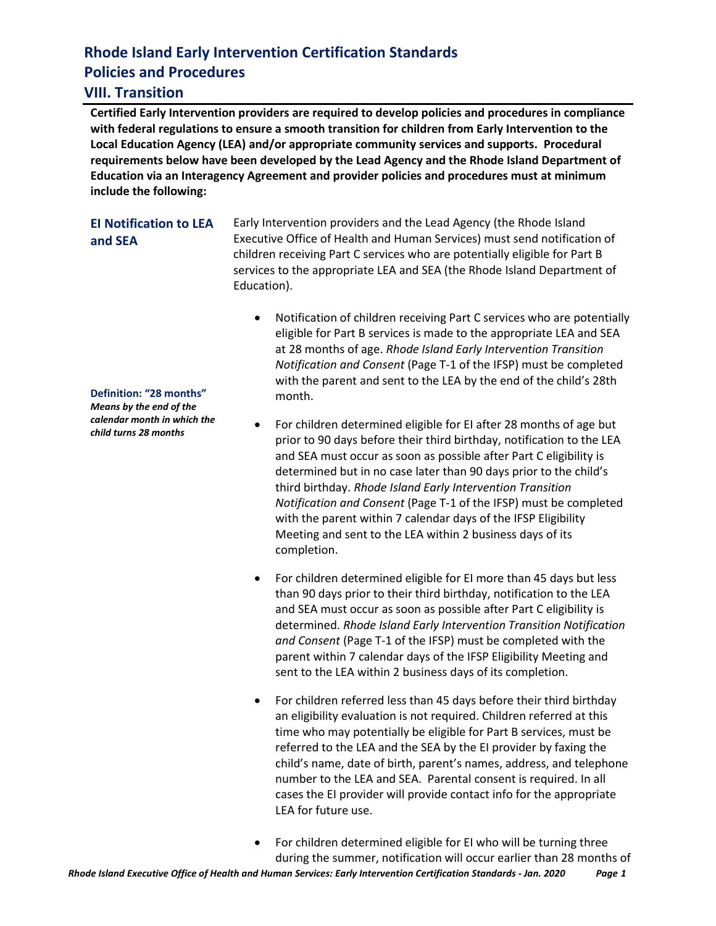# **Rhode Island Early Intervention Certification Standards Policies and Procedures**

#### **VIII. Transition**

**Certified Early Intervention providers are required to develop policies and procedures in compliance with federal regulations to ensure a smooth transition for children from Early Intervention to the Local Education Agency (LEA) and/or appropriate community services and supports. Procedural requirements below have been developed by the Lead Agency and the Rhode Island Department of Education via an Interagency Agreement and provider policies and procedures must at minimum include the following:**

#### **EI Notification to LEA and SEA**

Early Intervention providers and the Lead Agency (the Rhode Island Executive Office of Health and Human Services) must send notification of children receiving Part C services who are potentially eligible for Part B services to the appropriate LEA and SEA (the Rhode Island Department of Education).

- Notification of children receiving Part C services who are potentially eligible for Part B services is made to the appropriate LEA and SEA at 28 months of age. *Rhode Island Early Intervention Transition Notification and Consent* (Page T-1 of the IFSP) must be completed with the parent and sent to the LEA by the end of the child's 28th month.
- For children determined eligible for EI after 28 months of age but prior to 90 days before their third birthday, notification to the LEA and SEA must occur as soon as possible after Part C eligibility is determined but in no case later than 90 days prior to the child's third birthday. *Rhode Island Early Intervention Transition Notification and Consent* (Page T-1 of the IFSP) must be completed with the parent within 7 calendar days of the IFSP Eligibility Meeting and sent to the LEA within 2 business days of its completion.
- For children determined eligible for EI more than 45 days but less than 90 days prior to their third birthday, notification to the LEA and SEA must occur as soon as possible after Part C eligibility is determined. *Rhode Island Early Intervention Transition Notification and Consent* (Page T-1 of the IFSP) must be completed with the parent within 7 calendar days of the IFSP Eligibility Meeting and sent to the LEA within 2 business days of its completion.
- For children referred less than 45 days before their third birthday an eligibility evaluation is not required. Children referred at this time who may potentially be eligible for Part B services, must be referred to the LEA and the SEA by the EI provider by faxing the child's name, date of birth, parent's names, address, and telephone number to the LEA and SEA. Parental consent is required. In all cases the EI provider will provide contact info for the appropriate LEA for future use.
- For children determined eligible for EI who will be turning three during the summer, notification will occur earlier than 28 months of

#### **Definition: "28 months"**

*Means by the end of the calendar month in which the child turns 28 months*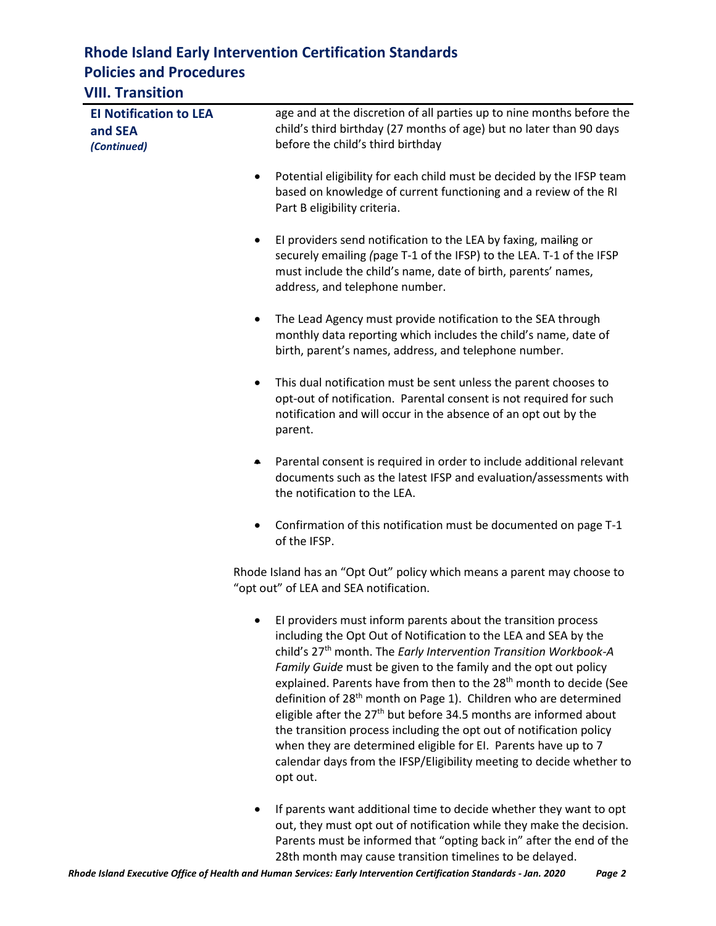# **Rhode Island Early Intervention Certification Standards Policies and Procedures**

### **VIII. Transition**

| <b>El Notification to LEA</b><br>and SEA |           | age and at the discretion of all parties up to nine months before the<br>child's third birthday (27 months of age) but no later than 90 days                                                                                                                                                                                                                                                                                                                                                                                                                                                                                                                                                                                                                        |
|------------------------------------------|-----------|---------------------------------------------------------------------------------------------------------------------------------------------------------------------------------------------------------------------------------------------------------------------------------------------------------------------------------------------------------------------------------------------------------------------------------------------------------------------------------------------------------------------------------------------------------------------------------------------------------------------------------------------------------------------------------------------------------------------------------------------------------------------|
| (Continued)                              |           | before the child's third birthday                                                                                                                                                                                                                                                                                                                                                                                                                                                                                                                                                                                                                                                                                                                                   |
|                                          | $\bullet$ | Potential eligibility for each child must be decided by the IFSP team<br>based on knowledge of current functioning and a review of the RI<br>Part B eligibility criteria.                                                                                                                                                                                                                                                                                                                                                                                                                                                                                                                                                                                           |
|                                          | $\bullet$ | El providers send notification to the LEA by faxing, mailing or<br>securely emailing (page T-1 of the IFSP) to the LEA. T-1 of the IFSP<br>must include the child's name, date of birth, parents' names,<br>address, and telephone number.                                                                                                                                                                                                                                                                                                                                                                                                                                                                                                                          |
|                                          | $\bullet$ | The Lead Agency must provide notification to the SEA through<br>monthly data reporting which includes the child's name, date of<br>birth, parent's names, address, and telephone number.                                                                                                                                                                                                                                                                                                                                                                                                                                                                                                                                                                            |
|                                          | $\bullet$ | This dual notification must be sent unless the parent chooses to<br>opt-out of notification. Parental consent is not required for such<br>notification and will occur in the absence of an opt out by the<br>parent.                                                                                                                                                                                                                                                                                                                                                                                                                                                                                                                                                |
|                                          | $\bullet$ | Parental consent is required in order to include additional relevant<br>documents such as the latest IFSP and evaluation/assessments with<br>the notification to the LEA.                                                                                                                                                                                                                                                                                                                                                                                                                                                                                                                                                                                           |
|                                          | $\bullet$ | Confirmation of this notification must be documented on page T-1<br>of the IFSP.                                                                                                                                                                                                                                                                                                                                                                                                                                                                                                                                                                                                                                                                                    |
|                                          |           | Rhode Island has an "Opt Out" policy which means a parent may choose to<br>"opt out" of LEA and SEA notification.                                                                                                                                                                                                                                                                                                                                                                                                                                                                                                                                                                                                                                                   |
|                                          |           | El providers must inform parents about the transition process<br>including the Opt Out of Notification to the LEA and SEA by the<br>child's 27 <sup>th</sup> month. The Early Intervention Transition Workbook-A<br>Family Guide must be given to the family and the opt out policy<br>explained. Parents have from then to the 28 <sup>th</sup> month to decide (See<br>definition of 28 <sup>th</sup> month on Page 1). Children who are determined<br>eligible after the 27 <sup>th</sup> but before 34.5 months are informed about<br>the transition process including the opt out of notification policy<br>when they are determined eligible for EI. Parents have up to 7<br>calendar days from the IFSP/Eligibility meeting to decide whether to<br>opt out. |
|                                          |           | If parents want additional time to decide whether they want to opt                                                                                                                                                                                                                                                                                                                                                                                                                                                                                                                                                                                                                                                                                                  |

out, they must opt out of notification while they make the decision. Parents must be informed that "opting back in" after the end of the 28th month may cause transition timelines to be delayed.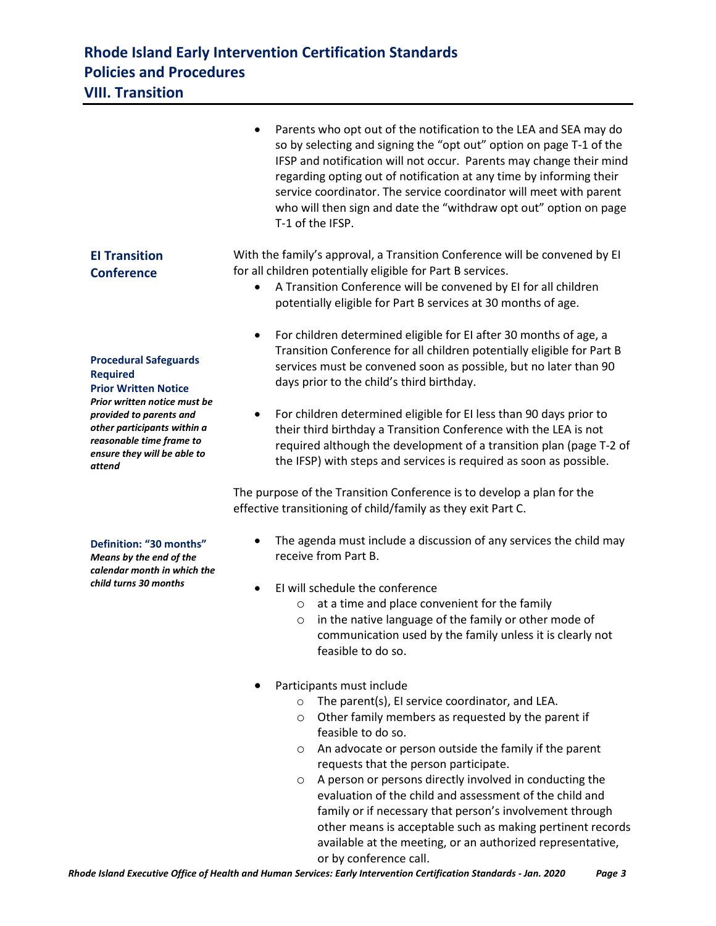### **Rhode Island Early Intervention Certification Standards Policies and Procedures VIII. Transition**

#### • Parents who opt out of the notification to the LEA and SEA may do so by selecting and signing the "opt out" option on page T-1 of the IFSP and notification will not occur. Parents may change their mind regarding opting out of notification at any time by informing their service coordinator. The service coordinator will meet with parent who will then sign and date the "withdraw opt out" option on page T-1 of the IFSP. **EI Transition Conference Procedural Safeguards Required Prior Written Notice** *Prior written notice must be provided to parents and other participants within a reasonable time frame to ensure they will be able to attend* **Definition: "30 months"** *Means by the end of the calendar month in which the child turns 30 months* With the family's approval, a Transition Conference will be convened by EI for all children potentially eligible for Part B services. • A Transition Conference will be convened by EI for all children potentially eligible for Part B services at 30 months of age. • For children determined eligible for EI after 30 months of age, a Transition Conference for all children potentially eligible for Part B services must be convened soon as possible, but no later than 90 days prior to the child's third birthday. • For children determined eligible for EI less than 90 days prior to their third birthday a Transition Conference with the LEA is not required although the development of a transition plan (page T-2 of the IFSP) with steps and services is required as soon as possible. The purpose of the Transition Conference is to develop a plan for the effective transitioning of child/family as they exit Part C. • The agenda must include a discussion of any services the child may receive from Part B. • EI will schedule the conference o at a time and place convenient for the family o in the native language of the family or other mode of communication used by the family unless it is clearly not feasible to do so. • Participants must include o The parent(s), EI service coordinator, and LEA. o Other family members as requested by the parent if feasible to do so. o An advocate or person outside the family if the parent requests that the person participate. o A person or persons directly involved in conducting the evaluation of the child and assessment of the child and family or if necessary that person's involvement through

or by conference call.

other means is acceptable such as making pertinent records available at the meeting, or an authorized representative,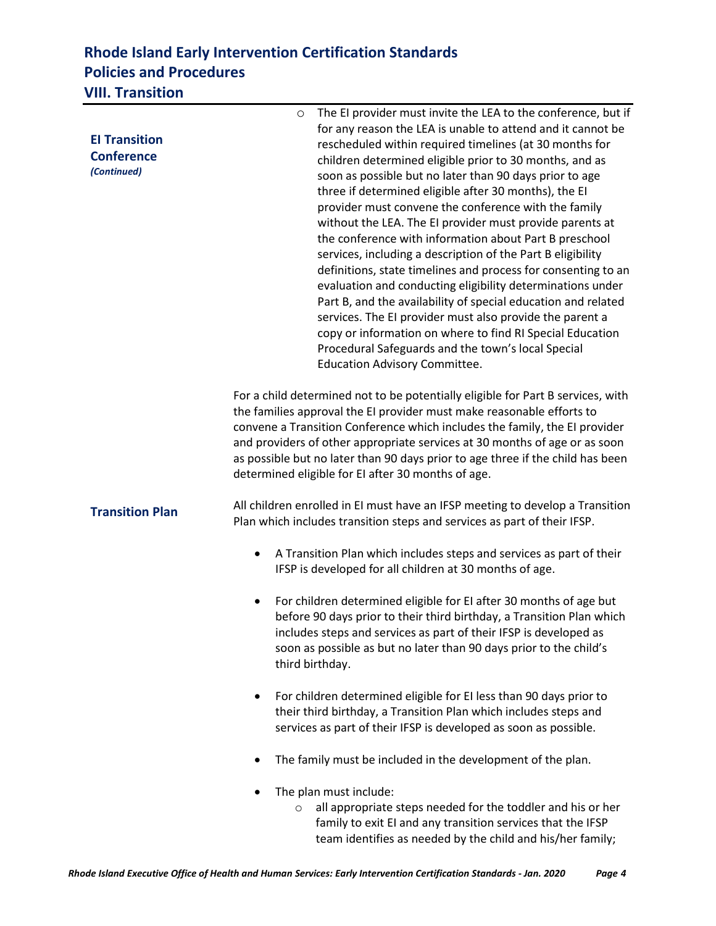## **Rhode Island Early Intervention Certification Standards Policies and Procedures VIII. Transition**

|                        | The EI provider must invite the LEA to the conference, but if<br>$\circ$                                                             |  |  |
|------------------------|--------------------------------------------------------------------------------------------------------------------------------------|--|--|
| <b>El Transition</b>   | for any reason the LEA is unable to attend and it cannot be                                                                          |  |  |
| <b>Conference</b>      | rescheduled within required timelines (at 30 months for                                                                              |  |  |
| (Continued)            | children determined eligible prior to 30 months, and as                                                                              |  |  |
|                        | soon as possible but no later than 90 days prior to age                                                                              |  |  |
|                        | three if determined eligible after 30 months), the EI<br>provider must convene the conference with the family                        |  |  |
|                        | without the LEA. The EI provider must provide parents at                                                                             |  |  |
|                        | the conference with information about Part B preschool                                                                               |  |  |
|                        | services, including a description of the Part B eligibility                                                                          |  |  |
|                        | definitions, state timelines and process for consenting to an                                                                        |  |  |
|                        | evaluation and conducting eligibility determinations under                                                                           |  |  |
|                        | Part B, and the availability of special education and related                                                                        |  |  |
|                        | services. The EI provider must also provide the parent a                                                                             |  |  |
|                        | copy or information on where to find RI Special Education                                                                            |  |  |
|                        | Procedural Safeguards and the town's local Special                                                                                   |  |  |
|                        | <b>Education Advisory Committee.</b>                                                                                                 |  |  |
|                        | For a child determined not to be potentially eligible for Part B services, with                                                      |  |  |
|                        | the families approval the EI provider must make reasonable efforts to                                                                |  |  |
|                        | convene a Transition Conference which includes the family, the EI provider                                                           |  |  |
|                        | and providers of other appropriate services at 30 months of age or as soon                                                           |  |  |
|                        | as possible but no later than 90 days prior to age three if the child has been<br>determined eligible for EI after 30 months of age. |  |  |
|                        |                                                                                                                                      |  |  |
| <b>Transition Plan</b> | All children enrolled in EI must have an IFSP meeting to develop a Transition                                                        |  |  |
|                        | Plan which includes transition steps and services as part of their IFSP.                                                             |  |  |
|                        | A Transition Plan which includes steps and services as part of their                                                                 |  |  |
|                        | ٠<br>IFSP is developed for all children at 30 months of age.                                                                         |  |  |
|                        |                                                                                                                                      |  |  |
|                        | For children determined eligible for EI after 30 months of age but<br>$\bullet$                                                      |  |  |
|                        | before 90 days prior to their third birthday, a Transition Plan which                                                                |  |  |
|                        | includes steps and services as part of their IFSP is developed as                                                                    |  |  |
|                        | soon as possible as but no later than 90 days prior to the child's                                                                   |  |  |
|                        | third birthday.                                                                                                                      |  |  |
|                        | For children determined eligible for EI less than 90 days prior to<br>$\bullet$                                                      |  |  |
|                        | their third birthday, a Transition Plan which includes steps and                                                                     |  |  |
|                        | services as part of their IFSP is developed as soon as possible.                                                                     |  |  |
|                        | The family must be included in the development of the plan.                                                                          |  |  |
|                        | The plan must include:                                                                                                               |  |  |
|                        | all appropriate steps needed for the toddler and his or her<br>$\circ$                                                               |  |  |
|                        | family to exit EI and any transition services that the IFSP                                                                          |  |  |

team identifies as needed by the child and his/her family;